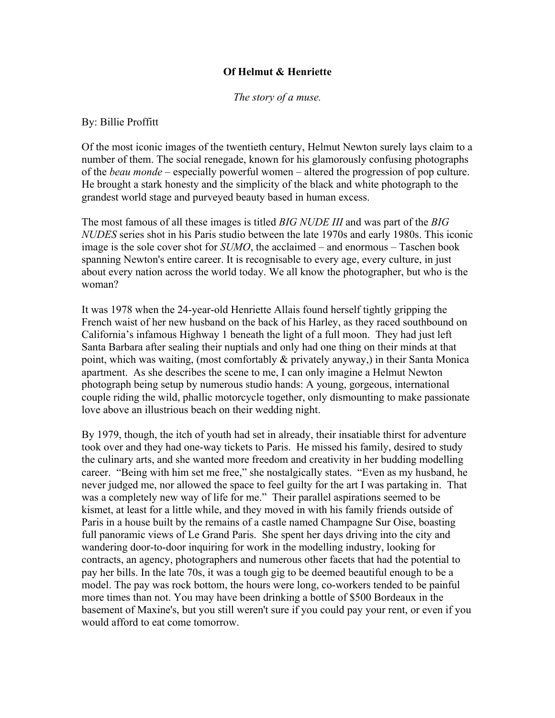## **Of Helmut & Henriette**

*The story of a muse.*

## By: Billie Proffitt

Of the most iconic images of the twentieth century, Helmut Newton surely lays claim to a number of them. The social renegade, known for his glamorously confusing photographs of the *beau monde* – especially powerful women – altered the progression of pop culture. He brought a stark honesty and the simplicity of the black and white photograph to the grandest world stage and purveyed beauty based in human excess.

The most famous of all these images is titled *BIG NUDE III* and was part of the *BIG NUDES* series shot in his Paris studio between the late 1970s and early 1980s. This iconic image is the sole cover shot for *SUMO*, the acclaimed – and enormous – Taschen book spanning Newton's entire career. It is recognisable to every age, every culture, in just about every nation across the world today. We all know the photographer, but who is the woman?

It was 1978 when the 24-year-old Henriette Allais found herself tightly gripping the French waist of her new husband on the back of his Harley, as they raced southbound on California's infamous Highway 1 beneath the light of a full moon. They had just left Santa Barbara after sealing their nuptials and only had one thing on their minds at that point, which was waiting, (most comfortably & privately anyway,) in their Santa Monica apartment. As she describes the scene to me, I can only imagine a Helmut Newton photograph being setup by numerous studio hands: A young, gorgeous, international couple riding the wild, phallic motorcycle together, only dismounting to make passionate love above an illustrious beach on their wedding night.

By 1979, though, the itch of youth had set in already, their insatiable thirst for adventure took over and they had one-way tickets to Paris. He missed his family, desired to study the culinary arts, and she wanted more freedom and creativity in her budding modelling career. "Being with him set me free," she nostalgically states. "Even as my husband, he never judged me, nor allowed the space to feel guilty for the art I was partaking in. That was a completely new way of life for me." Their parallel aspirations seemed to be kismet, at least for a little while, and they moved in with his family friends outside of Paris in a house built by the remains of a castle named Champagne Sur Oise, boasting full panoramic views of Le Grand Paris. She spent her days driving into the city and wandering door-to-door inquiring for work in the modelling industry, looking for contracts, an agency, photographers and numerous other facets that had the potential to pay her bills. In the late 70s, it was a tough gig to be deemed beautiful enough to be a model. The pay was rock bottom, the hours were long, co-workers tended to be painful more times than not. You may have been drinking a bottle of \$500 Bordeaux in the basement of Maxine's, but you still weren't sure if you could pay your rent, or even if you would afford to eat come tomorrow.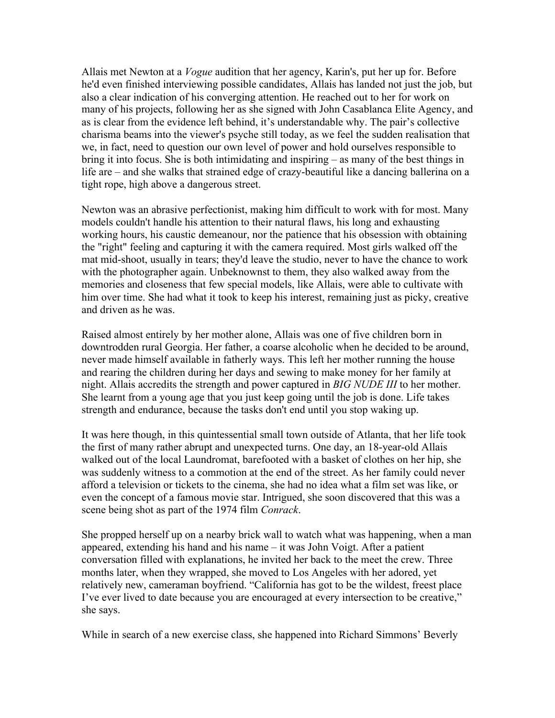Allais met Newton at a *Vogue* audition that her agency, Karin's, put her up for. Before he'd even finished interviewing possible candidates, Allais has landed not just the job, but also a clear indication of his converging attention. He reached out to her for work on many of his projects, following her as she signed with John Casablanca Elite Agency, and as is clear from the evidence left behind, it's understandable why. The pair's collective charisma beams into the viewer's psyche still today, as we feel the sudden realisation that we, in fact, need to question our own level of power and hold ourselves responsible to bring it into focus. She is both intimidating and inspiring – as many of the best things in life are – and she walks that strained edge of crazy-beautiful like a dancing ballerina on a tight rope, high above a dangerous street.

Newton was an abrasive perfectionist, making him difficult to work with for most. Many models couldn't handle his attention to their natural flaws, his long and exhausting working hours, his caustic demeanour, nor the patience that his obsession with obtaining the "right" feeling and capturing it with the camera required. Most girls walked off the mat mid-shoot, usually in tears; they'd leave the studio, never to have the chance to work with the photographer again. Unbeknownst to them, they also walked away from the memories and closeness that few special models, like Allais, were able to cultivate with him over time. She had what it took to keep his interest, remaining just as picky, creative and driven as he was.

Raised almost entirely by her mother alone, Allais was one of five children born in downtrodden rural Georgia. Her father, a coarse alcoholic when he decided to be around, never made himself available in fatherly ways. This left her mother running the house and rearing the children during her days and sewing to make money for her family at night. Allais accredits the strength and power captured in *BIG NUDE III* to her mother. She learnt from a young age that you just keep going until the job is done. Life takes strength and endurance, because the tasks don't end until you stop waking up.

It was here though, in this quintessential small town outside of Atlanta, that her life took the first of many rather abrupt and unexpected turns. One day, an 18-year-old Allais walked out of the local Laundromat, barefooted with a basket of clothes on her hip, she was suddenly witness to a commotion at the end of the street. As her family could never afford a television or tickets to the cinema, she had no idea what a film set was like, or even the concept of a famous movie star. Intrigued, she soon discovered that this was a scene being shot as part of the 1974 film *Conrack*.

She propped herself up on a nearby brick wall to watch what was happening, when a man appeared, extending his hand and his name – it was John Voigt. After a patient conversation filled with explanations, he invited her back to the meet the crew. Three months later, when they wrapped, she moved to Los Angeles with her adored, yet relatively new, cameraman boyfriend. "California has got to be the wildest, freest place I've ever lived to date because you are encouraged at every intersection to be creative," she says.

While in search of a new exercise class, she happened into Richard Simmons' Beverly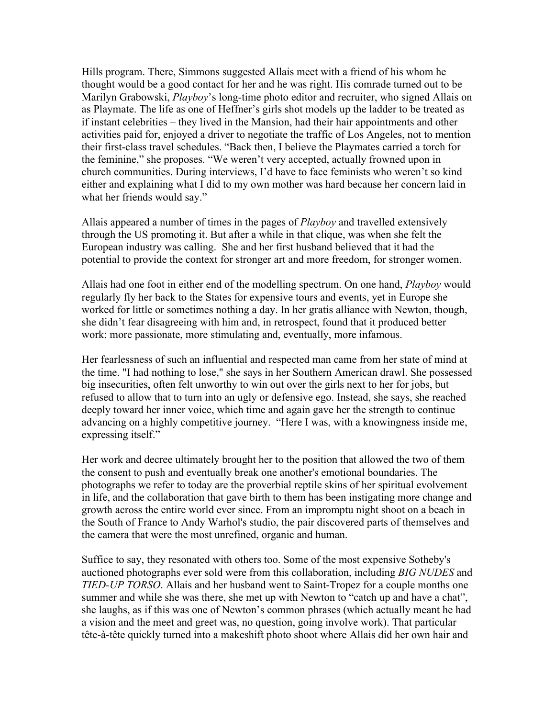Hills program. There, Simmons suggested Allais meet with a friend of his whom he thought would be a good contact for her and he was right. His comrade turned out to be Marilyn Grabowski, *Playboy*'s long-time photo editor and recruiter, who signed Allais on as Playmate. The life as one of Heffner's girls shot models up the ladder to be treated as if instant celebrities – they lived in the Mansion, had their hair appointments and other activities paid for, enjoyed a driver to negotiate the traffic of Los Angeles, not to mention their first-class travel schedules. "Back then, I believe the Playmates carried a torch for the feminine," she proposes. "We weren't very accepted, actually frowned upon in church communities. During interviews, I'd have to face feminists who weren't so kind either and explaining what I did to my own mother was hard because her concern laid in what her friends would say."

Allais appeared a number of times in the pages of *Playboy* and travelled extensively through the US promoting it. But after a while in that clique, was when she felt the European industry was calling. She and her first husband believed that it had the potential to provide the context for stronger art and more freedom, for stronger women.

Allais had one foot in either end of the modelling spectrum. On one hand, *Playboy* would regularly fly her back to the States for expensive tours and events, yet in Europe she worked for little or sometimes nothing a day. In her gratis alliance with Newton, though, she didn't fear disagreeing with him and, in retrospect, found that it produced better work: more passionate, more stimulating and, eventually, more infamous.

Her fearlessness of such an influential and respected man came from her state of mind at the time. "I had nothing to lose," she says in her Southern American drawl. She possessed big insecurities, often felt unworthy to win out over the girls next to her for jobs, but refused to allow that to turn into an ugly or defensive ego. Instead, she says, she reached deeply toward her inner voice, which time and again gave her the strength to continue advancing on a highly competitive journey. "Here I was, with a knowingness inside me, expressing itself."

Her work and decree ultimately brought her to the position that allowed the two of them the consent to push and eventually break one another's emotional boundaries. The photographs we refer to today are the proverbial reptile skins of her spiritual evolvement in life, and the collaboration that gave birth to them has been instigating more change and growth across the entire world ever since. From an impromptu night shoot on a beach in the South of France to Andy Warhol's studio, the pair discovered parts of themselves and the camera that were the most unrefined, organic and human.

Suffice to say, they resonated with others too. Some of the most expensive Sotheby's auctioned photographs ever sold were from this collaboration, including *BIG NUDES* and *TIED-UP TORSO*. Allais and her husband went to Saint-Tropez for a couple months one summer and while she was there, she met up with Newton to "catch up and have a chat", she laughs, as if this was one of Newton's common phrases (which actually meant he had a vision and the meet and greet was, no question, going involve work). That particular tête-à-tête quickly turned into a makeshift photo shoot where Allais did her own hair and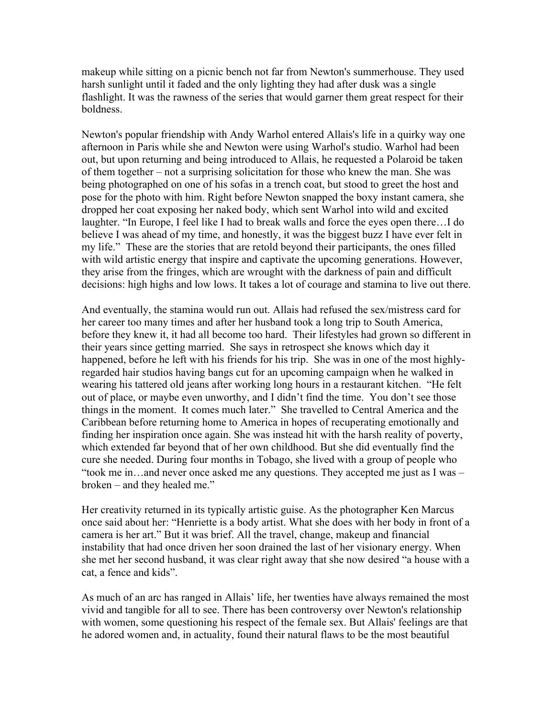makeup while sitting on a picnic bench not far from Newton's summerhouse. They used harsh sunlight until it faded and the only lighting they had after dusk was a single flashlight. It was the rawness of the series that would garner them great respect for their boldness.

Newton's popular friendship with Andy Warhol entered Allais's life in a quirky way one afternoon in Paris while she and Newton were using Warhol's studio. Warhol had been out, but upon returning and being introduced to Allais, he requested a Polaroid be taken of them together – not a surprising solicitation for those who knew the man. She was being photographed on one of his sofas in a trench coat, but stood to greet the host and pose for the photo with him. Right before Newton snapped the boxy instant camera, she dropped her coat exposing her naked body, which sent Warhol into wild and excited laughter. "In Europe, I feel like I had to break walls and force the eyes open there…I do believe I was ahead of my time, and honestly, it was the biggest buzz I have ever felt in my life." These are the stories that are retold beyond their participants, the ones filled with wild artistic energy that inspire and captivate the upcoming generations. However, they arise from the fringes, which are wrought with the darkness of pain and difficult decisions: high highs and low lows. It takes a lot of courage and stamina to live out there.

And eventually, the stamina would run out. Allais had refused the sex/mistress card for her career too many times and after her husband took a long trip to South America, before they knew it, it had all become too hard. Their lifestyles had grown so different in their years since getting married. She says in retrospect she knows which day it happened, before he left with his friends for his trip. She was in one of the most highlyregarded hair studios having bangs cut for an upcoming campaign when he walked in wearing his tattered old jeans after working long hours in a restaurant kitchen. "He felt out of place, or maybe even unworthy, and I didn't find the time. You don't see those things in the moment. It comes much later." She travelled to Central America and the Caribbean before returning home to America in hopes of recuperating emotionally and finding her inspiration once again. She was instead hit with the harsh reality of poverty, which extended far beyond that of her own childhood. But she did eventually find the cure she needed. During four months in Tobago, she lived with a group of people who "took me in…and never once asked me any questions. They accepted me just as I was – broken – and they healed me."

Her creativity returned in its typically artistic guise. As the photographer Ken Marcus once said about her: "Henriette is a body artist. What she does with her body in front of a camera is her art." But it was brief. All the travel, change, makeup and financial instability that had once driven her soon drained the last of her visionary energy. When she met her second husband, it was clear right away that she now desired "a house with a cat, a fence and kids".

As much of an arc has ranged in Allais' life, her twenties have always remained the most vivid and tangible for all to see. There has been controversy over Newton's relationship with women, some questioning his respect of the female sex. But Allais' feelings are that he adored women and, in actuality, found their natural flaws to be the most beautiful